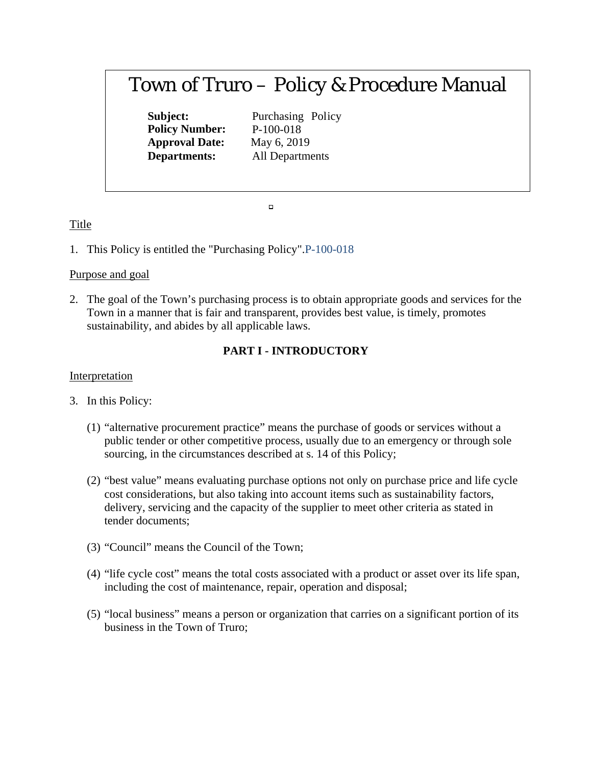# Town of Truro – Policy & Procedure Manual

**Policy Number:** P-100-018 **Approval Date:** May 6, 2019

**Subject:** Purchasing Policy **Departments:** All Departments

 $\Box$ 

## Title

1. This Policy is entitled the "Purchasing Policy".P-100-018

## Purpose and goal

2. The goal of the Town's purchasing process is to obtain appropriate goods and services for the Town in a manner that is fair and transparent, provides best value, is timely, promotes sustainability, and abides by all applicable laws.

# **PART I - INTRODUCTORY**

## **Interpretation**

- 3. In this Policy:
	- (1) "alternative procurement practice" means the purchase of goods or services without a public tender or other competitive process, usually due to an emergency or through sole sourcing, in the circumstances described at s. 14 of this Policy;
	- (2) "best value" means evaluating purchase options not only on purchase price and life cycle cost considerations, but also taking into account items such as sustainability factors, delivery, servicing and the capacity of the supplier to meet other criteria as stated in tender documents;
	- (3) "Council" means the Council of the Town;
	- (4) "life cycle cost" means the total costs associated with a product or asset over its life span, including the cost of maintenance, repair, operation and disposal;
	- (5) "local business" means a person or organization that carries on a significant portion of its business in the Town of Truro;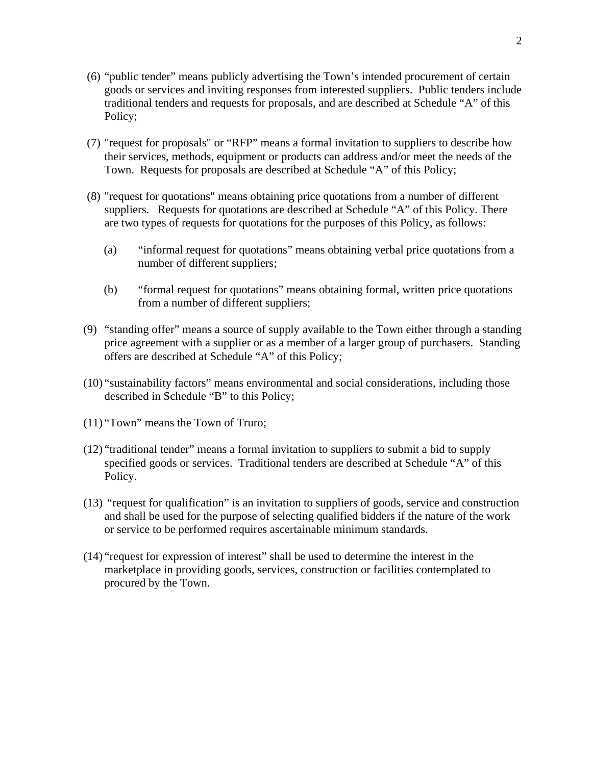- (6) "public tender" means publicly advertising the Town's intended procurement of certain goods or services and inviting responses from interested suppliers. Public tenders include traditional tenders and requests for proposals, and are described at Schedule "A" of this Policy;
- (7) "request for proposals" or "RFP" means a formal invitation to suppliers to describe how their services, methods, equipment or products can address and/or meet the needs of the Town. Requests for proposals are described at Schedule "A" of this Policy;
- (8) "request for quotations" means obtaining price quotations from a number of different suppliers. Requests for quotations are described at Schedule "A" of this Policy. There are two types of requests for quotations for the purposes of this Policy, as follows:
	- (a) "informal request for quotations" means obtaining verbal price quotations from a number of different suppliers;
	- (b) "formal request for quotations" means obtaining formal, written price quotations from a number of different suppliers;
- (9) "standing offer" means a source of supply available to the Town either through a standing price agreement with a supplier or as a member of a larger group of purchasers. Standing offers are described at Schedule "A" of this Policy;
- (10) "sustainability factors" means environmental and social considerations, including those described in Schedule "B" to this Policy;
- (11) "Town" means the Town of Truro;
- (12) "traditional tender" means a formal invitation to suppliers to submit a bid to supply specified goods or services. Traditional tenders are described at Schedule "A" of this Policy.
- (13) "request for qualification" is an invitation to suppliers of goods, service and construction and shall be used for the purpose of selecting qualified bidders if the nature of the work or service to be performed requires ascertainable minimum standards.
- (14) "request for expression of interest" shall be used to determine the interest in the marketplace in providing goods, services, construction or facilities contemplated to procured by the Town.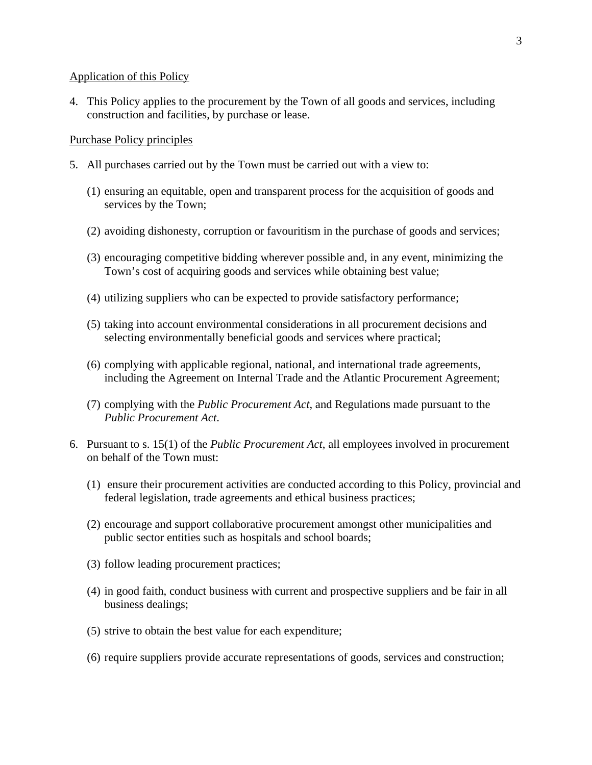#### Application of this Policy

4. This Policy applies to the procurement by the Town of all goods and services, including construction and facilities, by purchase or lease.

#### Purchase Policy principles

- 5. All purchases carried out by the Town must be carried out with a view to:
	- (1) ensuring an equitable, open and transparent process for the acquisition of goods and services by the Town;
	- (2) avoiding dishonesty, corruption or favouritism in the purchase of goods and services;
	- (3) encouraging competitive bidding wherever possible and, in any event, minimizing the Town's cost of acquiring goods and services while obtaining best value;
	- (4) utilizing suppliers who can be expected to provide satisfactory performance;
	- (5) taking into account environmental considerations in all procurement decisions and selecting environmentally beneficial goods and services where practical;
	- (6) complying with applicable regional, national, and international trade agreements, including the Agreement on Internal Trade and the Atlantic Procurement Agreement;
	- (7) complying with the *Public Procurement Act*, and Regulations made pursuant to the *Public Procurement Act*.
- 6. Pursuant to s. 15(1) of the *Public Procurement Act*, all employees involved in procurement on behalf of the Town must:
	- (1) ensure their procurement activities are conducted according to this Policy, provincial and federal legislation, trade agreements and ethical business practices;
	- (2) encourage and support collaborative procurement amongst other municipalities and public sector entities such as hospitals and school boards;
	- (3) follow leading procurement practices;
	- (4) in good faith, conduct business with current and prospective suppliers and be fair in all business dealings;
	- (5) strive to obtain the best value for each expenditure;
	- (6) require suppliers provide accurate representations of goods, services and construction;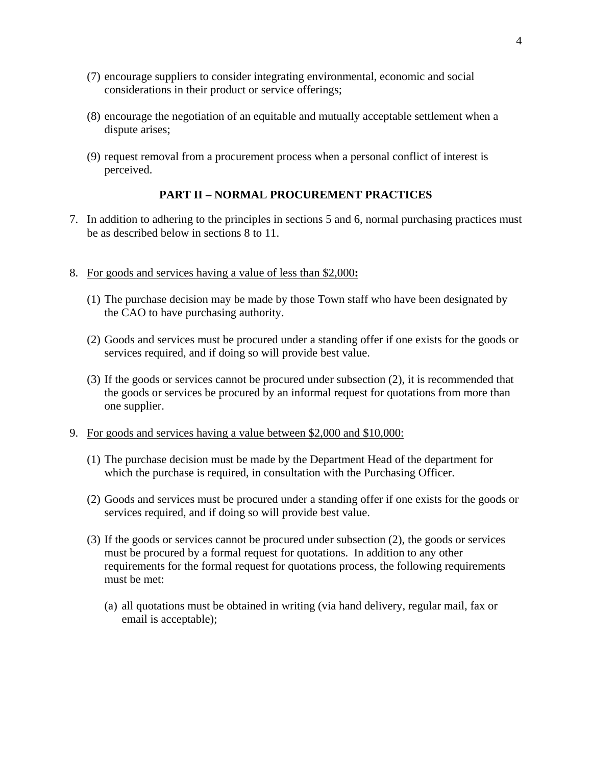- (7) encourage suppliers to consider integrating environmental, economic and social considerations in their product or service offerings;
- (8) encourage the negotiation of an equitable and mutually acceptable settlement when a dispute arises;
- (9) request removal from a procurement process when a personal conflict of interest is perceived.

## **PART II – NORMAL PROCUREMENT PRACTICES**

- 7. In addition to adhering to the principles in sections 5 and 6, normal purchasing practices must be as described below in sections 8 to 11.
- 8. For goods and services having a value of less than \$2,000**:**
	- (1) The purchase decision may be made by those Town staff who have been designated by the CAO to have purchasing authority.
	- (2) Goods and services must be procured under a standing offer if one exists for the goods or services required, and if doing so will provide best value.
	- (3) If the goods or services cannot be procured under subsection (2), it is recommended that the goods or services be procured by an informal request for quotations from more than one supplier.
- 9. For goods and services having a value between \$2,000 and \$10,000:
	- (1) The purchase decision must be made by the Department Head of the department for which the purchase is required, in consultation with the Purchasing Officer.
	- (2) Goods and services must be procured under a standing offer if one exists for the goods or services required, and if doing so will provide best value.
	- (3) If the goods or services cannot be procured under subsection (2), the goods or services must be procured by a formal request for quotations.In addition to any other requirements for the formal request for quotations process, the following requirements must be met:
		- (a) all quotations must be obtained in writing (via hand delivery, regular mail, fax or email is acceptable);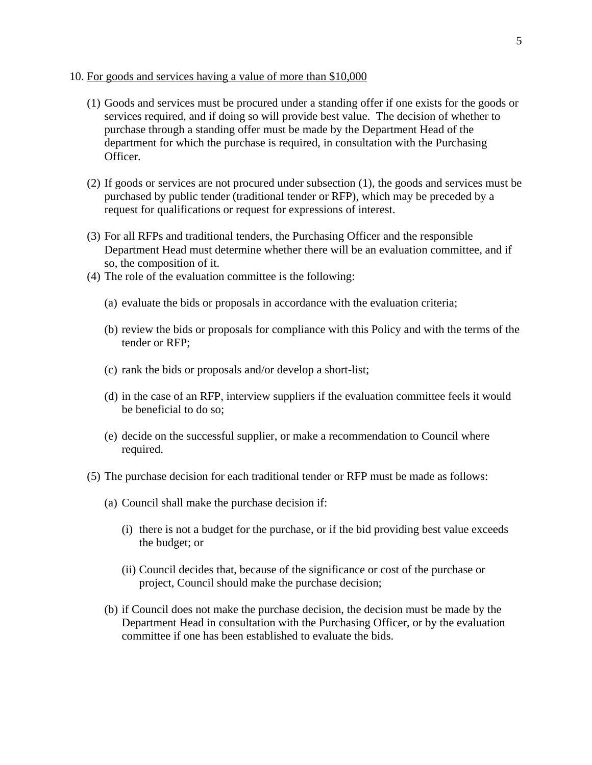#### 10. For goods and services having a value of more than \$10,000

- (1) Goods and services must be procured under a standing offer if one exists for the goods or services required, and if doing so will provide best value. The decision of whether to purchase through a standing offer must be made by the Department Head of the department for which the purchase is required, in consultation with the Purchasing Officer.
- (2) If goods or services are not procured under subsection (1), the goods and services must be purchased by public tender (traditional tender or RFP), which may be preceded by a request for qualifications or request for expressions of interest.
- (3) For all RFPs and traditional tenders, the Purchasing Officer and the responsible Department Head must determine whether there will be an evaluation committee, and if so, the composition of it.
- (4) The role of the evaluation committee is the following:
	- (a) evaluate the bids or proposals in accordance with the evaluation criteria;
	- (b) review the bids or proposals for compliance with this Policy and with the terms of the tender or RFP;
	- (c) rank the bids or proposals and/or develop a short-list;
	- (d) in the case of an RFP, interview suppliers if the evaluation committee feels it would be beneficial to do so;
	- (e) decide on the successful supplier, or make a recommendation to Council where required.
- (5) The purchase decision for each traditional tender or RFP must be made as follows:
	- (a) Council shall make the purchase decision if:
		- (i) there is not a budget for the purchase, or if the bid providing best value exceeds the budget; or
		- (ii) Council decides that, because of the significance or cost of the purchase or project, Council should make the purchase decision;
	- (b) if Council does not make the purchase decision, the decision must be made by the Department Head in consultation with the Purchasing Officer, or by the evaluation committee if one has been established to evaluate the bids.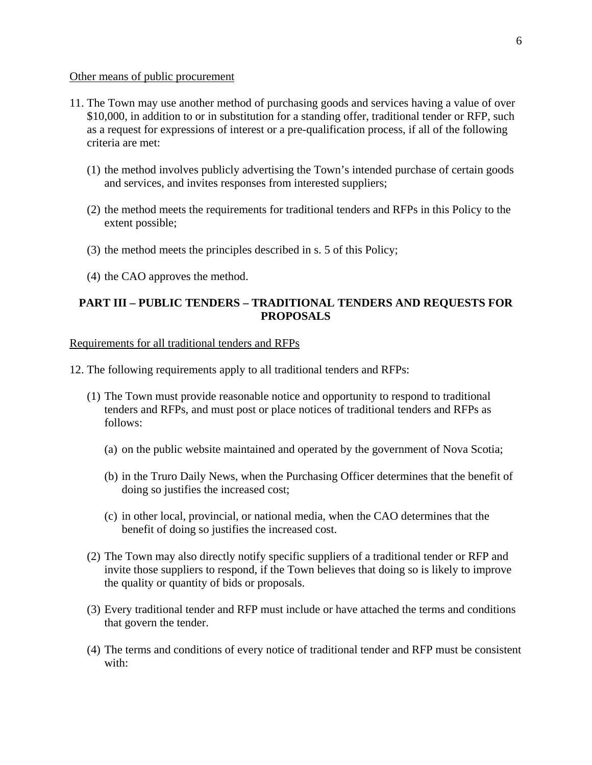#### Other means of public procurement

- 11. The Town may use another method of purchasing goods and services having a value of over \$10,000, in addition to or in substitution for a standing offer, traditional tender or RFP, such as a request for expressions of interest or a pre-qualification process, if all of the following criteria are met:
	- (1) the method involves publicly advertising the Town's intended purchase of certain goods and services, and invites responses from interested suppliers;
	- (2) the method meets the requirements for traditional tenders and RFPs in this Policy to the extent possible;
	- (3) the method meets the principles described in s. 5 of this Policy;
	- (4) the CAO approves the method.

## **PART III – PUBLIC TENDERS – TRADITIONAL TENDERS AND REQUESTS FOR PROPOSALS**

#### Requirements for all traditional tenders and RFPs

- 12. The following requirements apply to all traditional tenders and RFPs:
	- (1) The Town must provide reasonable notice and opportunity to respond to traditional tenders and RFPs, and must post or place notices of traditional tenders and RFPs as follows:
		- (a) on the public website maintained and operated by the government of Nova Scotia;
		- (b) in the Truro Daily News, when the Purchasing Officer determines that the benefit of doing so justifies the increased cost;
		- (c) in other local, provincial, or national media, when the CAO determines that the benefit of doing so justifies the increased cost.
	- (2) The Town may also directly notify specific suppliers of a traditional tender or RFP and invite those suppliers to respond, if the Town believes that doing so is likely to improve the quality or quantity of bids or proposals.
	- (3) Every traditional tender and RFP must include or have attached the terms and conditions that govern the tender.
	- (4) The terms and conditions of every notice of traditional tender and RFP must be consistent with: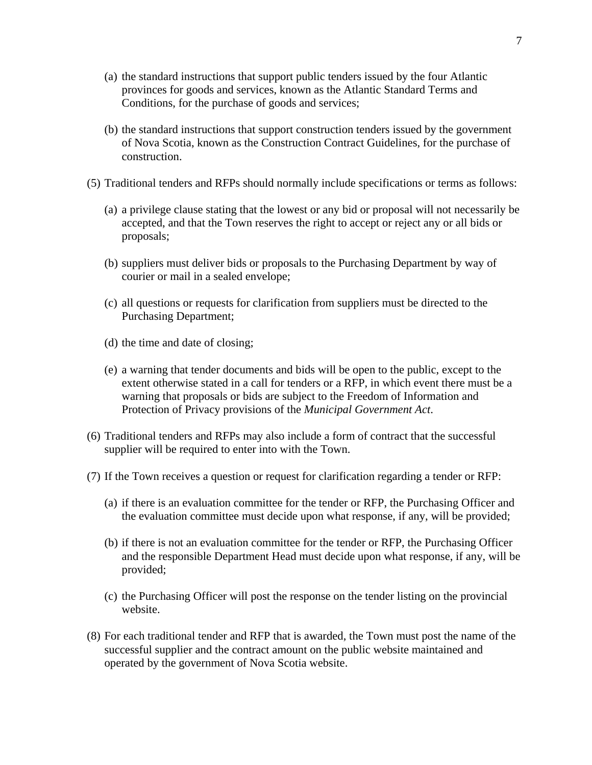- (a) the standard instructions that support public tenders issued by the four Atlantic provinces for goods and services, known as the Atlantic Standard Terms and Conditions, for the purchase of goods and services;
- (b) the standard instructions that support construction tenders issued by the government of Nova Scotia, known as the Construction Contract Guidelines, for the purchase of construction.
- (5) Traditional tenders and RFPs should normally include specifications or terms as follows:
	- (a) a privilege clause stating that the lowest or any bid or proposal will not necessarily be accepted, and that the Town reserves the right to accept or reject any or all bids or proposals;
	- (b) suppliers must deliver bids or proposals to the Purchasing Department by way of courier or mail in a sealed envelope;
	- (c) all questions or requests for clarification from suppliers must be directed to the Purchasing Department;
	- (d) the time and date of closing;
	- (e) a warning that tender documents and bids will be open to the public, except to the extent otherwise stated in a call for tenders or a RFP, in which event there must be a warning that proposals or bids are subject to the Freedom of Information and Protection of Privacy provisions of the *Municipal Government Act*.
- (6) Traditional tenders and RFPs may also include a form of contract that the successful supplier will be required to enter into with the Town.
- (7) If the Town receives a question or request for clarification regarding a tender or RFP:
	- (a) if there is an evaluation committee for the tender or RFP, the Purchasing Officer and the evaluation committee must decide upon what response, if any, will be provided;
	- (b) if there is not an evaluation committee for the tender or RFP, the Purchasing Officer and the responsible Department Head must decide upon what response, if any, will be provided;
	- (c) the Purchasing Officer will post the response on the tender listing on the provincial website.
- (8) For each traditional tender and RFP that is awarded, the Town must post the name of the successful supplier and the contract amount on the public website maintained and operated by the government of Nova Scotia website.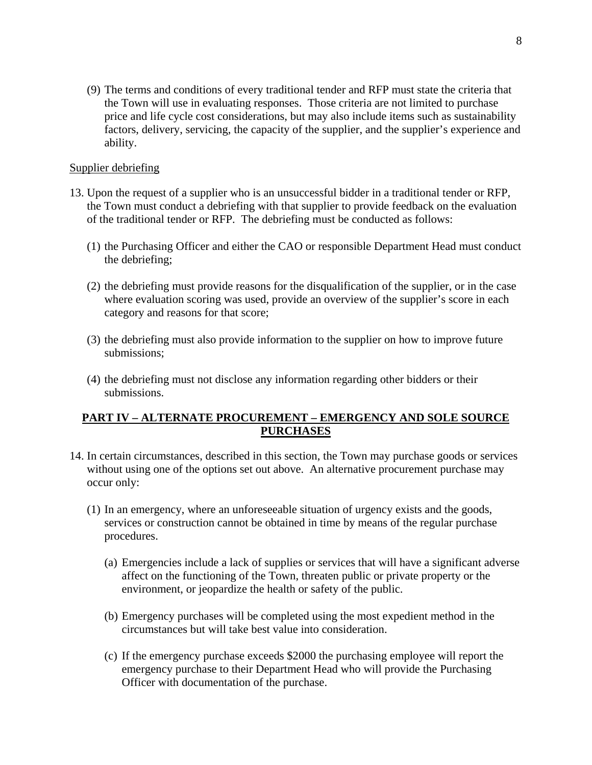(9) The terms and conditions of every traditional tender and RFP must state the criteria that the Town will use in evaluating responses. Those criteria are not limited to purchase price and life cycle cost considerations, but may also include items such as sustainability factors, delivery, servicing, the capacity of the supplier, and the supplier's experience and ability.

#### Supplier debriefing

- 13. Upon the request of a supplier who is an unsuccessful bidder in a traditional tender or RFP, the Town must conduct a debriefing with that supplier to provide feedback on the evaluation of the traditional tender or RFP. The debriefing must be conducted as follows:
	- (1) the Purchasing Officer and either the CAO or responsible Department Head must conduct the debriefing;
	- (2) the debriefing must provide reasons for the disqualification of the supplier, or in the case where evaluation scoring was used, provide an overview of the supplier's score in each category and reasons for that score;
	- (3) the debriefing must also provide information to the supplier on how to improve future submissions;
	- (4) the debriefing must not disclose any information regarding other bidders or their submissions.

## **PART IV – ALTERNATE PROCUREMENT – EMERGENCY AND SOLE SOURCE PURCHASES**

- 14. In certain circumstances, described in this section, the Town may purchase goods or services without using one of the options set out above. An alternative procurement purchase may occur only:
	- (1) In an emergency, where an unforeseeable situation of urgency exists and the goods, services or construction cannot be obtained in time by means of the regular purchase procedures.
		- (a) Emergencies include a lack of supplies or services that will have a significant adverse affect on the functioning of the Town, threaten public or private property or the environment, or jeopardize the health or safety of the public.
		- (b) Emergency purchases will be completed using the most expedient method in the circumstances but will take best value into consideration.
		- (c) If the emergency purchase exceeds \$2000 the purchasing employee will report the emergency purchase to their Department Head who will provide the Purchasing Officer with documentation of the purchase.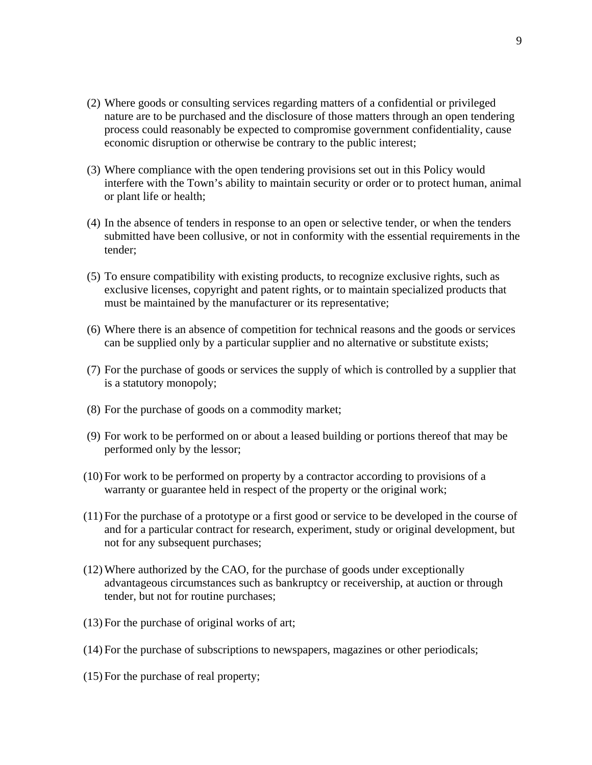- (2) Where goods or consulting services regarding matters of a confidential or privileged nature are to be purchased and the disclosure of those matters through an open tendering process could reasonably be expected to compromise government confidentiality, cause economic disruption or otherwise be contrary to the public interest;
- (3) Where compliance with the open tendering provisions set out in this Policy would interfere with the Town's ability to maintain security or order or to protect human, animal or plant life or health;
- (4) In the absence of tenders in response to an open or selective tender, or when the tenders submitted have been collusive, or not in conformity with the essential requirements in the tender;
- (5) To ensure compatibility with existing products, to recognize exclusive rights, such as exclusive licenses, copyright and patent rights, or to maintain specialized products that must be maintained by the manufacturer or its representative;
- (6) Where there is an absence of competition for technical reasons and the goods or services can be supplied only by a particular supplier and no alternative or substitute exists;
- (7) For the purchase of goods or services the supply of which is controlled by a supplier that is a statutory monopoly;
- (8) For the purchase of goods on a commodity market;
- (9) For work to be performed on or about a leased building or portions thereof that may be performed only by the lessor;
- (10) For work to be performed on property by a contractor according to provisions of a warranty or guarantee held in respect of the property or the original work;
- (11) For the purchase of a prototype or a first good or service to be developed in the course of and for a particular contract for research, experiment, study or original development, but not for any subsequent purchases;
- (12)Where authorized by the CAO, for the purchase of goods under exceptionally advantageous circumstances such as bankruptcy or receivership, at auction or through tender, but not for routine purchases;
- (13) For the purchase of original works of art;
- (14) For the purchase of subscriptions to newspapers, magazines or other periodicals;
- (15) For the purchase of real property;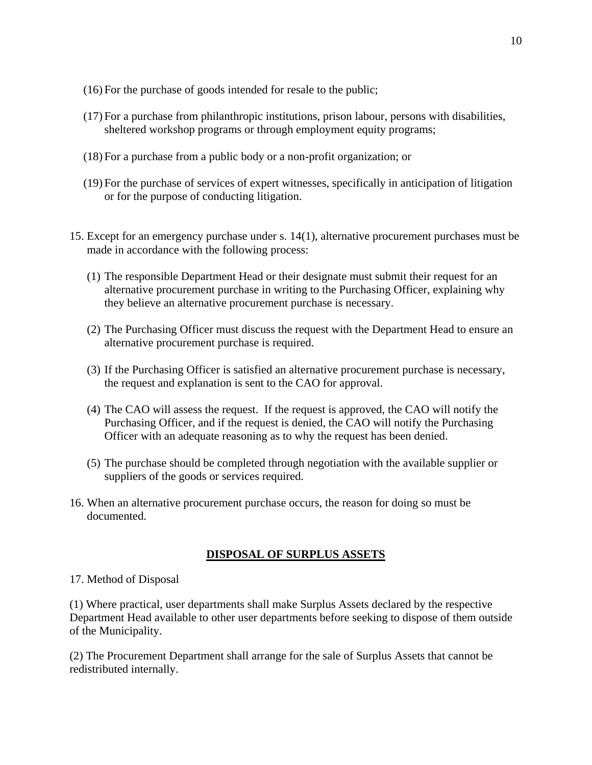- (16) For the purchase of goods intended for resale to the public;
- (17) For a purchase from philanthropic institutions, prison labour, persons with disabilities, sheltered workshop programs or through employment equity programs;
- (18) For a purchase from a public body or a non-profit organization; or
- (19) For the purchase of services of expert witnesses, specifically in anticipation of litigation or for the purpose of conducting litigation.
- 15. Except for an emergency purchase under s. 14(1), alternative procurement purchases must be made in accordance with the following process:
	- (1) The responsible Department Head or their designate must submit their request for an alternative procurement purchase in writing to the Purchasing Officer, explaining why they believe an alternative procurement purchase is necessary.
	- (2) The Purchasing Officer must discuss the request with the Department Head to ensure an alternative procurement purchase is required.
	- (3) If the Purchasing Officer is satisfied an alternative procurement purchase is necessary, the request and explanation is sent to the CAO for approval.
	- (4) The CAO will assess the request. If the request is approved, the CAO will notify the Purchasing Officer, and if the request is denied, the CAO will notify the Purchasing Officer with an adequate reasoning as to why the request has been denied.
	- (5) The purchase should be completed through negotiation with the available supplier or suppliers of the goods or services required.
- 16. When an alternative procurement purchase occurs, the reason for doing so must be documented.

## **DISPOSAL OF SURPLUS ASSETS**

## 17. Method of Disposal

(1) Where practical, user departments shall make Surplus Assets declared by the respective Department Head available to other user departments before seeking to dispose of them outside of the Municipality.

(2) The Procurement Department shall arrange for the sale of Surplus Assets that cannot be redistributed internally.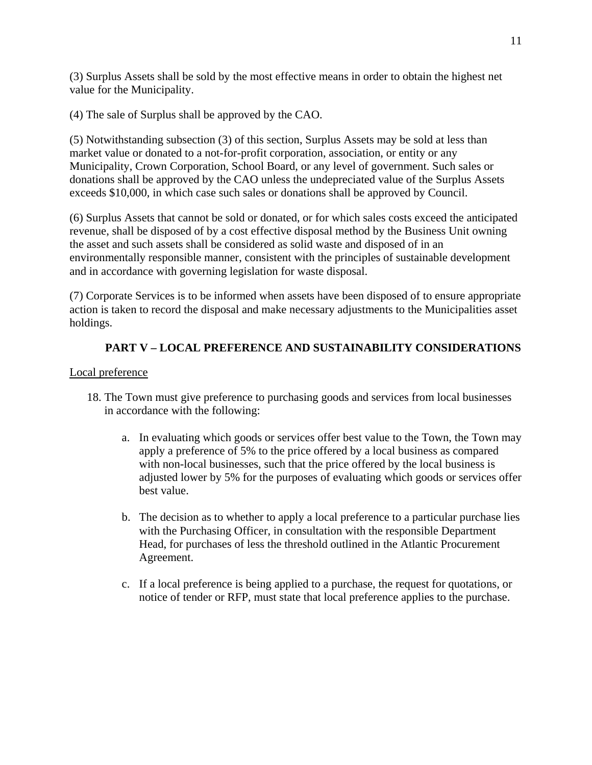(3) Surplus Assets shall be sold by the most effective means in order to obtain the highest net value for the Municipality.

(4) The sale of Surplus shall be approved by the CAO.

(5) Notwithstanding subsection (3) of this section, Surplus Assets may be sold at less than market value or donated to a not-for-profit corporation, association, or entity or any Municipality, Crown Corporation, School Board, or any level of government. Such sales or donations shall be approved by the CAO unless the undepreciated value of the Surplus Assets exceeds \$10,000, in which case such sales or donations shall be approved by Council.

(6) Surplus Assets that cannot be sold or donated, or for which sales costs exceed the anticipated revenue, shall be disposed of by a cost effective disposal method by the Business Unit owning the asset and such assets shall be considered as solid waste and disposed of in an environmentally responsible manner, consistent with the principles of sustainable development and in accordance with governing legislation for waste disposal.

(7) Corporate Services is to be informed when assets have been disposed of to ensure appropriate action is taken to record the disposal and make necessary adjustments to the Municipalities asset holdings.

# **PART V – LOCAL PREFERENCE AND SUSTAINABILITY CONSIDERATIONS**

## Local preference

- 18. The Town must give preference to purchasing goods and services from local businesses in accordance with the following:
	- a. In evaluating which goods or services offer best value to the Town, the Town may apply a preference of 5% to the price offered by a local business as compared with non-local businesses, such that the price offered by the local business is adjusted lower by 5% for the purposes of evaluating which goods or services offer best value.
	- b. The decision as to whether to apply a local preference to a particular purchase lies with the Purchasing Officer, in consultation with the responsible Department Head, for purchases of less the threshold outlined in the Atlantic Procurement Agreement.
	- c. If a local preference is being applied to a purchase, the request for quotations, or notice of tender or RFP, must state that local preference applies to the purchase.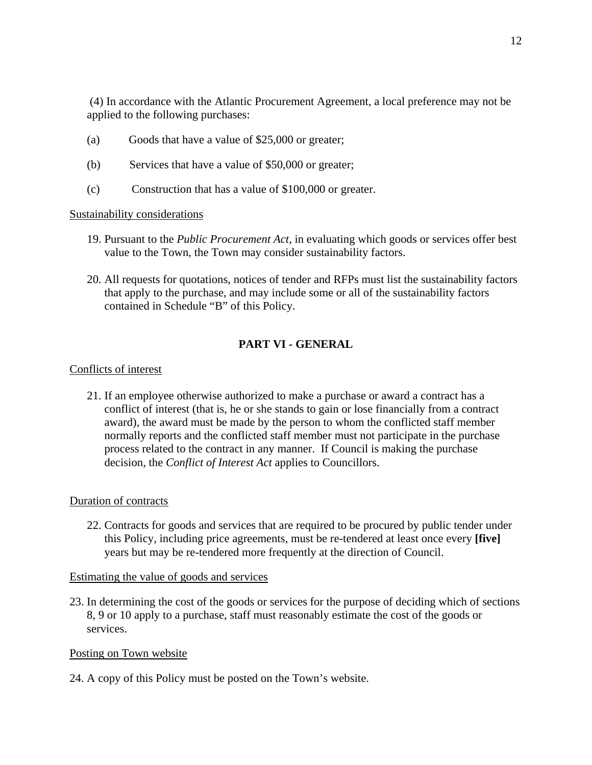(4) In accordance with the Atlantic Procurement Agreement, a local preference may not be applied to the following purchases:

- (a) Goods that have a value of \$25,000 or greater;
- (b) Services that have a value of \$50,000 or greater;
- (c) Construction that has a value of \$100,000 or greater.

#### Sustainability considerations

- 19. Pursuant to the *Public Procurement Act*, in evaluating which goods or services offer best value to the Town, the Town may consider sustainability factors.
- 20. All requests for quotations, notices of tender and RFPs must list the sustainability factors that apply to the purchase, and may include some or all of the sustainability factors contained in Schedule "B" of this Policy.

# **PART VI - GENERAL**

## Conflicts of interest

21. If an employee otherwise authorized to make a purchase or award a contract has a conflict of interest (that is, he or she stands to gain or lose financially from a contract award), the award must be made by the person to whom the conflicted staff member normally reports and the conflicted staff member must not participate in the purchase process related to the contract in any manner. If Council is making the purchase decision, the *Conflict of Interest Act* applies to Councillors.

## Duration of contracts

22. Contracts for goods and services that are required to be procured by public tender under this Policy, including price agreements, must be re-tendered at least once every **[five]** years but may be re-tendered more frequently at the direction of Council.

## Estimating the value of goods and services

23. In determining the cost of the goods or services for the purpose of deciding which of sections 8, 9 or 10 apply to a purchase, staff must reasonably estimate the cost of the goods or services.

## Posting on Town website

24. A copy of this Policy must be posted on the Town's website.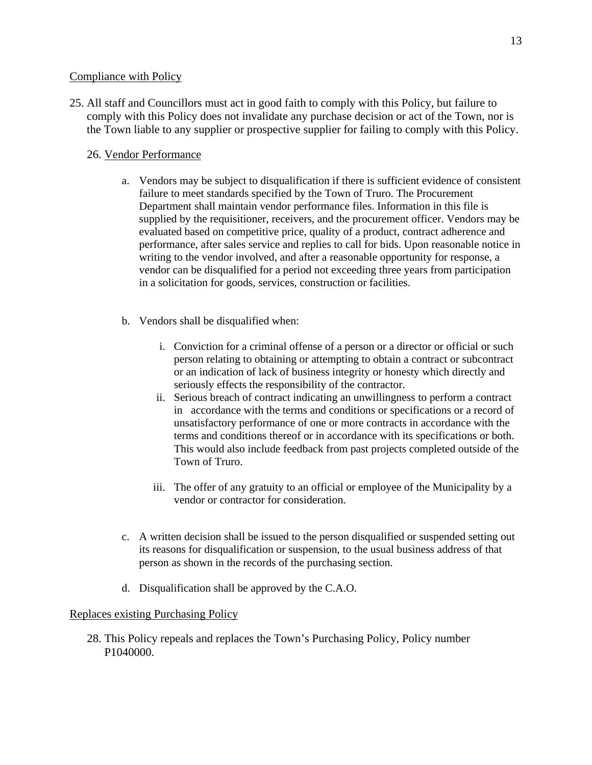#### Compliance with Policy

25. All staff and Councillors must act in good faith to comply with this Policy, but failure to comply with this Policy does not invalidate any purchase decision or act of the Town, nor is the Town liable to any supplier or prospective supplier for failing to comply with this Policy.

## 26. Vendor Performance

- a. Vendors may be subject to disqualification if there is sufficient evidence of consistent failure to meet standards specified by the Town of Truro. The Procurement Department shall maintain vendor performance files. Information in this file is supplied by the requisitioner, receivers, and the procurement officer. Vendors may be evaluated based on competitive price, quality of a product, contract adherence and performance, after sales service and replies to call for bids. Upon reasonable notice in writing to the vendor involved, and after a reasonable opportunity for response, a vendor can be disqualified for a period not exceeding three years from participation in a solicitation for goods, services, construction or facilities.
- b. Vendors shall be disqualified when:
	- i. Conviction for a criminal offense of a person or a director or official or such person relating to obtaining or attempting to obtain a contract or subcontract or an indication of lack of business integrity or honesty which directly and seriously effects the responsibility of the contractor.
	- ii. Serious breach of contract indicating an unwillingness to perform a contract in accordance with the terms and conditions or specifications or a record of unsatisfactory performance of one or more contracts in accordance with the terms and conditions thereof or in accordance with its specifications or both. This would also include feedback from past projects completed outside of the Town of Truro.
	- iii. The offer of any gratuity to an official or employee of the Municipality by a vendor or contractor for consideration.
- c. A written decision shall be issued to the person disqualified or suspended setting out its reasons for disqualification or suspension, to the usual business address of that person as shown in the records of the purchasing section.
- d. Disqualification shall be approved by the C.A.O.

#### Replaces existing Purchasing Policy

28. This Policy repeals and replaces the Town's Purchasing Policy, Policy number P1040000.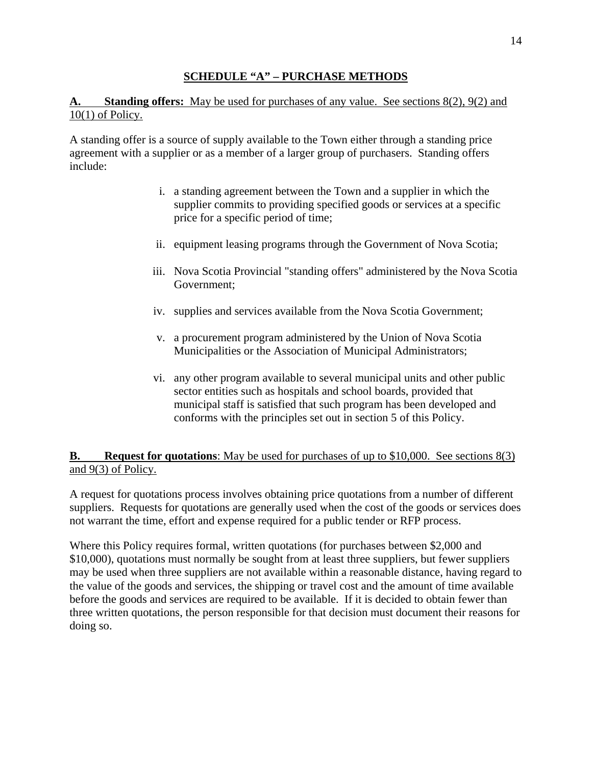## **SCHEDULE "A" – PURCHASE METHODS**

# **A. Standing offers:** May be used for purchases of any value. See sections 8(2), 9(2) and 10(1) of Policy.

A standing offer is a source of supply available to the Town either through a standing price agreement with a supplier or as a member of a larger group of purchasers. Standing offers include:

- i. a standing agreement between the Town and a supplier in which the supplier commits to providing specified goods or services at a specific price for a specific period of time;
- ii. equipment leasing programs through the Government of Nova Scotia;
- iii. Nova Scotia Provincial "standing offers" administered by the Nova Scotia Government;
- iv. supplies and services available from the Nova Scotia Government;
- v. a procurement program administered by the Union of Nova Scotia Municipalities or the Association of Municipal Administrators;
- vi. any other program available to several municipal units and other public sector entities such as hospitals and school boards, provided that municipal staff is satisfied that such program has been developed and conforms with the principles set out in section 5 of this Policy.

# **B.** Request for quotations: May be used for purchases of up to \$10,000. See sections 8(3) and 9(3) of Policy.

A request for quotations process involves obtaining price quotations from a number of different suppliers. Requests for quotations are generally used when the cost of the goods or services does not warrant the time, effort and expense required for a public tender or RFP process.

Where this Policy requires formal, written quotations (for purchases between \$2,000 and \$10,000), quotations must normally be sought from at least three suppliers, but fewer suppliers may be used when three suppliers are not available within a reasonable distance, having regard to the value of the goods and services, the shipping or travel cost and the amount of time available before the goods and services are required to be available. If it is decided to obtain fewer than three written quotations, the person responsible for that decision must document their reasons for doing so.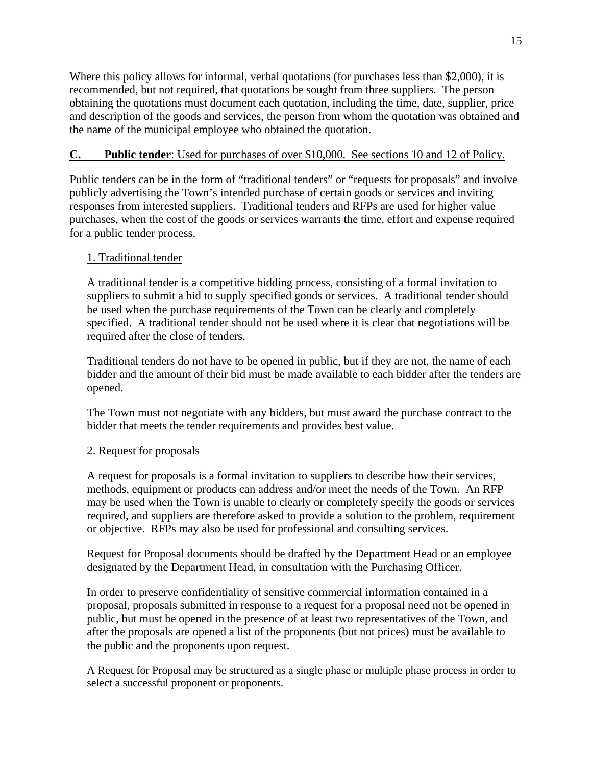Where this policy allows for informal, verbal quotations (for purchases less than \$2,000), it is recommended, but not required, that quotations be sought from three suppliers. The person obtaining the quotations must document each quotation, including the time, date, supplier, price and description of the goods and services, the person from whom the quotation was obtained and the name of the municipal employee who obtained the quotation.

## **C. Public tender**: Used for purchases of over \$10,000. See sections 10 and 12 of Policy.

Public tenders can be in the form of "traditional tenders" or "requests for proposals" and involve publicly advertising the Town's intended purchase of certain goods or services and inviting responses from interested suppliers. Traditional tenders and RFPs are used for higher value purchases, when the cost of the goods or services warrants the time, effort and expense required for a public tender process.

## 1. Traditional tender

A traditional tender is a competitive bidding process, consisting of a formal invitation to suppliers to submit a bid to supply specified goods or services. A traditional tender should be used when the purchase requirements of the Town can be clearly and completely specified. A traditional tender should not be used where it is clear that negotiations will be required after the close of tenders.

Traditional tenders do not have to be opened in public, but if they are not, the name of each bidder and the amount of their bid must be made available to each bidder after the tenders are opened.

The Town must not negotiate with any bidders, but must award the purchase contract to the bidder that meets the tender requirements and provides best value.

## 2. Request for proposals

A request for proposals is a formal invitation to suppliers to describe how their services, methods, equipment or products can address and/or meet the needs of the Town. An RFP may be used when the Town is unable to clearly or completely specify the goods or services required, and suppliers are therefore asked to provide a solution to the problem, requirement or objective. RFPs may also be used for professional and consulting services.

Request for Proposal documents should be drafted by the Department Head or an employee designated by the Department Head, in consultation with the Purchasing Officer.

In order to preserve confidentiality of sensitive commercial information contained in a proposal, proposals submitted in response to a request for a proposal need not be opened in public, but must be opened in the presence of at least two representatives of the Town, and after the proposals are opened a list of the proponents (but not prices) must be available to the public and the proponents upon request.

A Request for Proposal may be structured as a single phase or multiple phase process in order to select a successful proponent or proponents.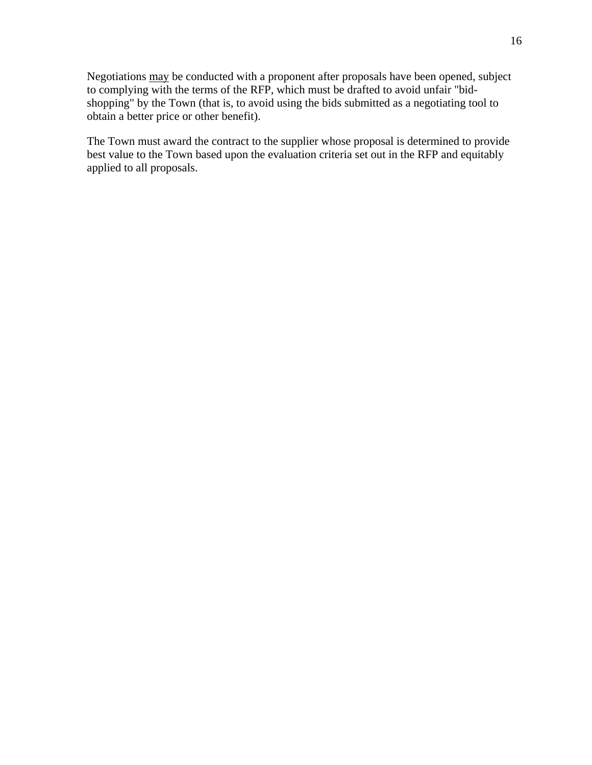Negotiations may be conducted with a proponent after proposals have been opened, subject to complying with the terms of the RFP, which must be drafted to avoid unfair "bidshopping" by the Town (that is, to avoid using the bids submitted as a negotiating tool to obtain a better price or other benefit).

The Town must award the contract to the supplier whose proposal is determined to provide best value to the Town based upon the evaluation criteria set out in the RFP and equitably applied to all proposals.